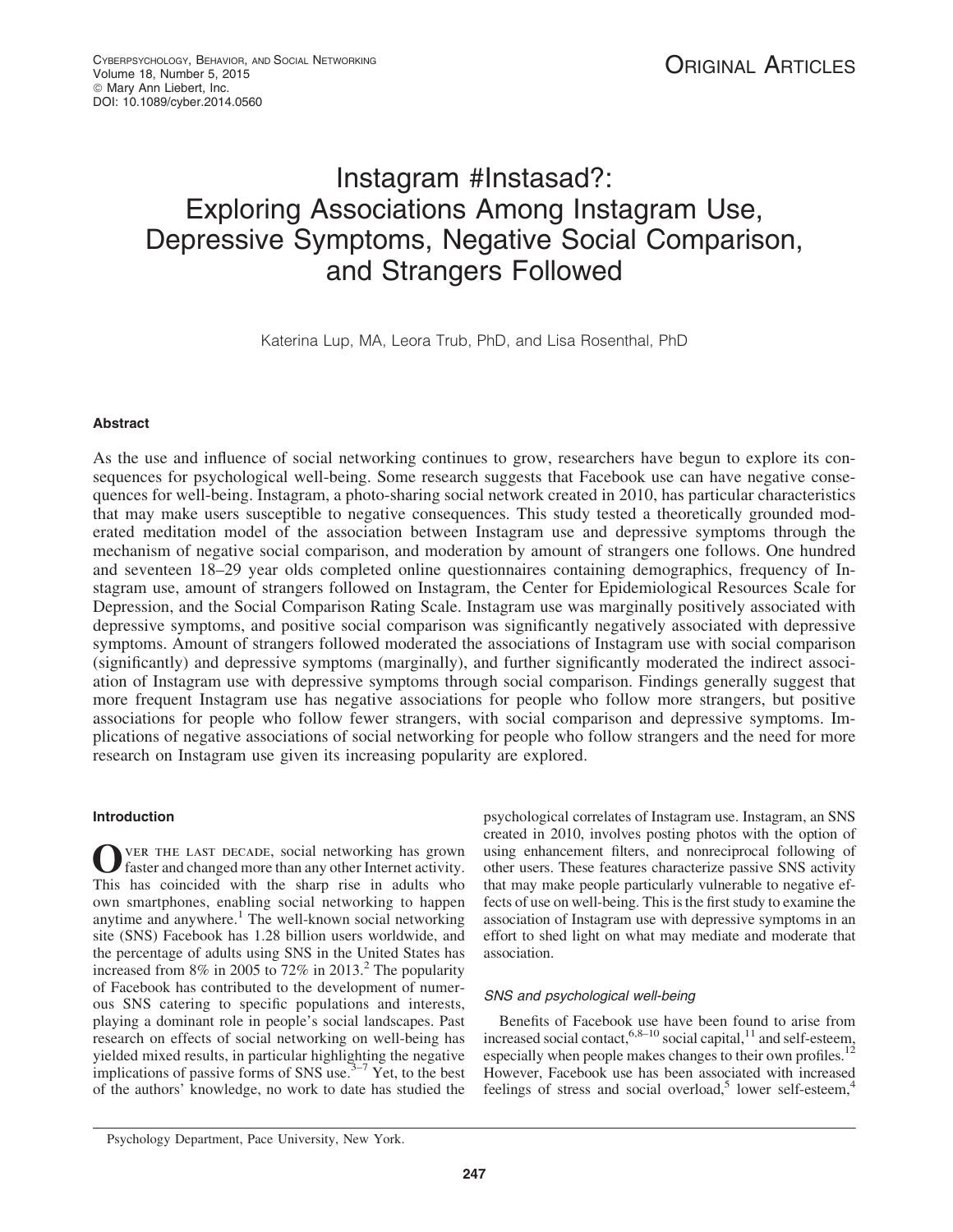# Instagram #Instasad?: Exploring Associations Among Instagram Use, Depressive Symptoms, Negative Social Comparison, and Strangers Followed

Katerina Lup, MA, Leora Trub, PhD, and Lisa Rosenthal, PhD

# Abstract

As the use and influence of social networking continues to grow, researchers have begun to explore its consequences for psychological well-being. Some research suggests that Facebook use can have negative consequences for well-being. Instagram, a photo-sharing social network created in 2010, has particular characteristics that may make users susceptible to negative consequences. This study tested a theoretically grounded moderated meditation model of the association between Instagram use and depressive symptoms through the mechanism of negative social comparison, and moderation by amount of strangers one follows. One hundred and seventeen 18–29 year olds completed online questionnaires containing demographics, frequency of Instagram use, amount of strangers followed on Instagram, the Center for Epidemiological Resources Scale for Depression, and the Social Comparison Rating Scale. Instagram use was marginally positively associated with depressive symptoms, and positive social comparison was significantly negatively associated with depressive symptoms. Amount of strangers followed moderated the associations of Instagram use with social comparison (significantly) and depressive symptoms (marginally), and further significantly moderated the indirect association of Instagram use with depressive symptoms through social comparison. Findings generally suggest that more frequent Instagram use has negative associations for people who follow more strangers, but positive associations for people who follow fewer strangers, with social comparison and depressive symptoms. Implications of negative associations of social networking for people who follow strangers and the need for more research on Instagram use given its increasing popularity are explored.

# Introduction

OVER THE LAST DECADE, social networking has grown<br>faster and changed more than any other Internet activity. This has coincided with the sharp rise in adults who own smartphones, enabling social networking to happen anytime and anywhere.<sup>1</sup> The well-known social networking site (SNS) Facebook has 1.28 billion users worldwide, and the percentage of adults using SNS in the United States has increased from  $8\%$  in 2005 to 72% in 2013.<sup>2</sup> The popularity of Facebook has contributed to the development of numerous SNS catering to specific populations and interests, playing a dominant role in people's social landscapes. Past research on effects of social networking on well-being has yielded mixed results, in particular highlighting the negative implications of passive forms of SNS use. $3-7$  Yet, to the best of the authors' knowledge, no work to date has studied the psychological correlates of Instagram use. Instagram, an SNS created in 2010, involves posting photos with the option of using enhancement filters, and nonreciprocal following of other users. These features characterize passive SNS activity that may make people particularly vulnerable to negative effects of use on well-being. This is the first study to examine the association of Instagram use with depressive symptoms in an effort to shed light on what may mediate and moderate that association.

# SNS and psychological well-being

Benefits of Facebook use have been found to arise from increased social contact,  $6,8-10$  social capital,  $11$  and self-esteem, especially when people makes changes to their own profiles.<sup>12</sup> However, Facebook use has been associated with increased feelings of stress and social overload,<sup>5</sup> lower self-esteem,<sup>4</sup>

Psychology Department, Pace University, New York.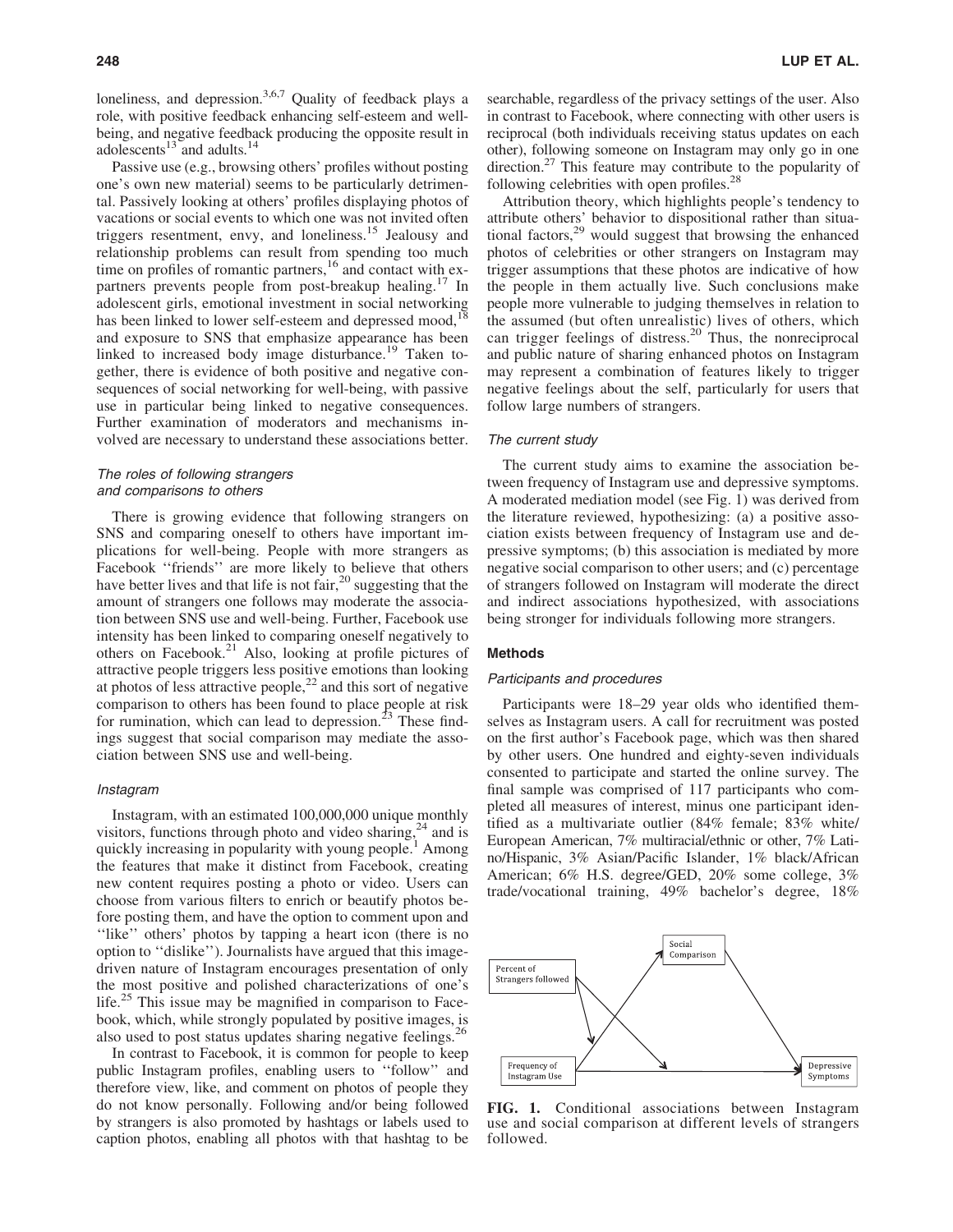loneliness, and depression.<sup>3,6,7</sup> Quality of feedback plays a role, with positive feedback enhancing self-esteem and wellbeing, and negative feedback producing the opposite result in adolescents $13$  and adults. $14$ 

Passive use (e.g., browsing others' profiles without posting one's own new material) seems to be particularly detrimental. Passively looking at others' profiles displaying photos of vacations or social events to which one was not invited often triggers resentment, envy, and loneliness.15 Jealousy and relationship problems can result from spending too much time on profiles of romantic partners,<sup>16</sup> and contact with expartners prevents people from post-breakup healing.<sup>17</sup> In adolescent girls, emotional investment in social networking has been linked to lower self-esteem and depressed mood,<sup>18</sup> and exposure to SNS that emphasize appearance has been linked to increased body image disturbance.<sup>19</sup> Taken together, there is evidence of both positive and negative consequences of social networking for well-being, with passive use in particular being linked to negative consequences. Further examination of moderators and mechanisms involved are necessary to understand these associations better.

# The roles of following strangers and comparisons to others

There is growing evidence that following strangers on SNS and comparing oneself to others have important implications for well-being. People with more strangers as Facebook ''friends'' are more likely to believe that others have better lives and that life is not fair,  $20$  suggesting that the amount of strangers one follows may moderate the association between SNS use and well-being. Further, Facebook use intensity has been linked to comparing oneself negatively to others on Facebook.<sup>21</sup> Also, looking at profile pictures of attractive people triggers less positive emotions than looking at photos of less attractive people, $^{22}$  and this sort of negative comparison to others has been found to place people at risk for rumination, which can lead to depression.<sup>23</sup> These findings suggest that social comparison may mediate the association between SNS use and well-being.

#### Instagram

Instagram, with an estimated 100,000,000 unique monthly visitors, functions through photo and video sharing,  $24$  and is quickly increasing in popularity with young people.<sup>1</sup> Among the features that make it distinct from Facebook, creating new content requires posting a photo or video. Users can choose from various filters to enrich or beautify photos before posting them, and have the option to comment upon and ''like'' others' photos by tapping a heart icon (there is no option to ''dislike''). Journalists have argued that this imagedriven nature of Instagram encourages presentation of only the most positive and polished characterizations of one's life.<sup>25</sup> This issue may be magnified in comparison to Facebook, which, while strongly populated by positive images, is also used to post status updates sharing negative feelings.<sup>26</sup>

In contrast to Facebook, it is common for people to keep public Instagram profiles, enabling users to ''follow'' and therefore view, like, and comment on photos of people they do not know personally. Following and/or being followed by strangers is also promoted by hashtags or labels used to caption photos, enabling all photos with that hashtag to be searchable, regardless of the privacy settings of the user. Also in contrast to Facebook, where connecting with other users is reciprocal (both individuals receiving status updates on each other), following someone on Instagram may only go in one direction.<sup>27</sup> This feature may contribute to the popularity of following celebrities with open profiles.<sup>28</sup>

Attribution theory, which highlights people's tendency to attribute others' behavior to dispositional rather than situational factors, $2<sup>9</sup>$  would suggest that browsing the enhanced photos of celebrities or other strangers on Instagram may trigger assumptions that these photos are indicative of how the people in them actually live. Such conclusions make people more vulnerable to judging themselves in relation to the assumed (but often unrealistic) lives of others, which can trigger feelings of distress.<sup>20</sup> Thus, the nonreciprocal and public nature of sharing enhanced photos on Instagram may represent a combination of features likely to trigger negative feelings about the self, particularly for users that follow large numbers of strangers.

# The current study

The current study aims to examine the association between frequency of Instagram use and depressive symptoms. A moderated mediation model (see Fig. 1) was derived from the literature reviewed, hypothesizing: (a) a positive association exists between frequency of Instagram use and depressive symptoms; (b) this association is mediated by more negative social comparison to other users; and (c) percentage of strangers followed on Instagram will moderate the direct and indirect associations hypothesized, with associations being stronger for individuals following more strangers.

### Methods

#### Participants and procedures

Participants were 18–29 year olds who identified themselves as Instagram users. A call for recruitment was posted on the first author's Facebook page, which was then shared by other users. One hundred and eighty-seven individuals consented to participate and started the online survey. The final sample was comprised of 117 participants who completed all measures of interest, minus one participant identified as a multivariate outlier (84% female; 83% white/ European American, 7% multiracial/ethnic or other, 7% Latino/Hispanic, 3% Asian/Pacific Islander, 1% black/African American; 6% H.S. degree/GED, 20% some college, 3% trade/vocational training, 49% bachelor's degree, 18%



FIG. 1. Conditional associations between Instagram use and social comparison at different levels of strangers followed.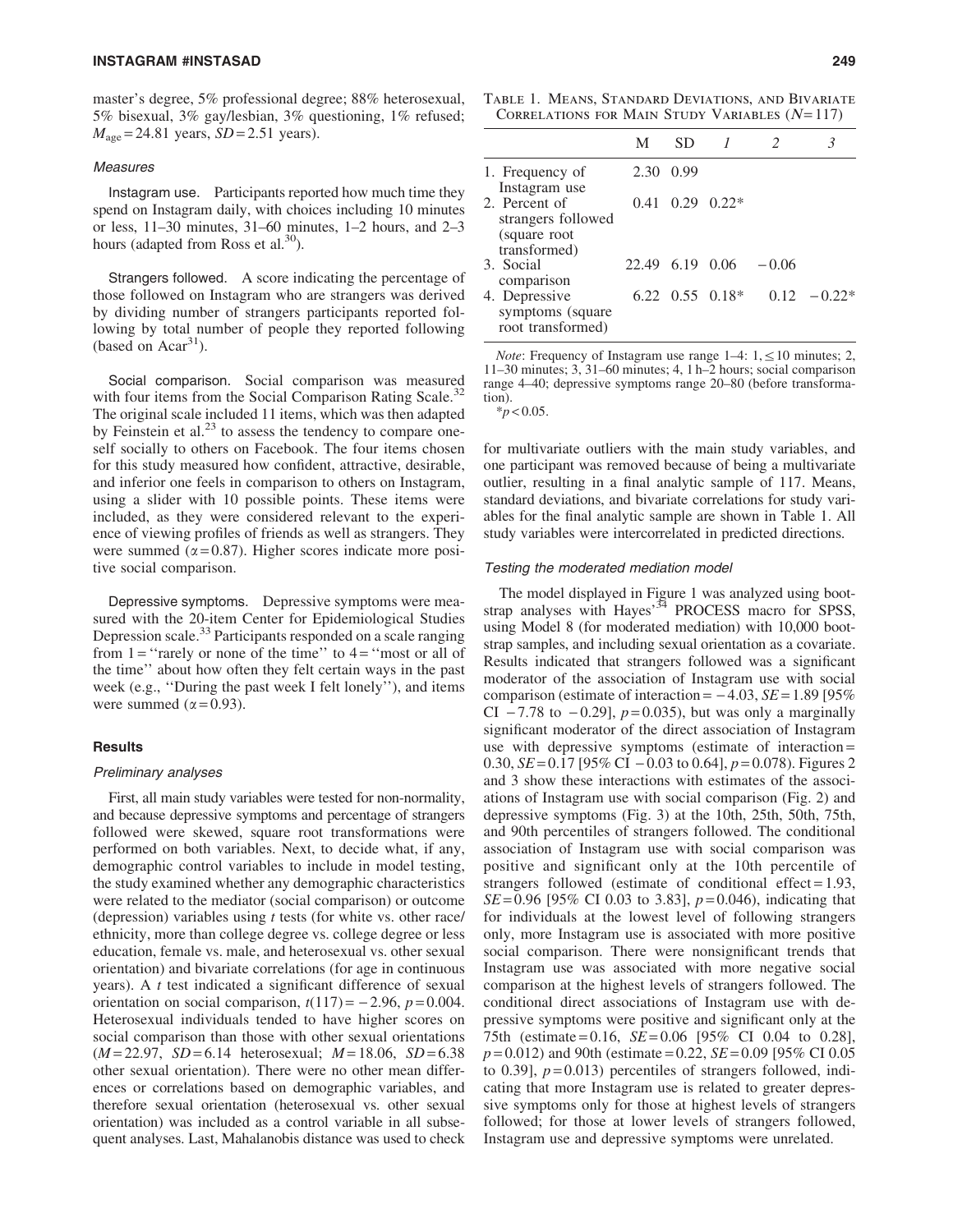master's degree, 5% professional degree; 88% heterosexual, 5% bisexual, 3% gay/lesbian, 3% questioning, 1% refused;  $M_{\text{age}} = 24.81$  years, *SD* = 2.51 years).

# **Measures**

Instagram use. Participants reported how much time they spend on Instagram daily, with choices including 10 minutes or less, 11–30 minutes, 31–60 minutes, 1–2 hours, and 2–3 hours (adapted from Ross et al. $^{30}$ ).

Strangers followed. A score indicating the percentage of those followed on Instagram who are strangers was derived by dividing number of strangers participants reported following by total number of people they reported following (based on  $Acar<sup>31</sup>$ ).

Social comparison. Social comparison was measured with four items from the Social Comparison Rating Scale. $32$ The original scale included 11 items, which was then adapted by Feinstein et al. $^{23}$  to assess the tendency to compare oneself socially to others on Facebook. The four items chosen for this study measured how confident, attractive, desirable, and inferior one feels in comparison to others on Instagram, using a slider with 10 possible points. These items were included, as they were considered relevant to the experience of viewing profiles of friends as well as strangers. They were summed ( $\alpha$  = 0.87). Higher scores indicate more positive social comparison.

Depressive symptoms. Depressive symptoms were measured with the 20-item Center for Epidemiological Studies Depression scale.<sup>33</sup> Participants responded on a scale ranging from  $1 =$  "rarely or none of the time" to  $4 =$  "most or all of the time'' about how often they felt certain ways in the past week (e.g., ''During the past week I felt lonely''), and items were summed  $(\alpha = 0.93)$ .

### **Results**

#### Preliminary analyses

First, all main study variables were tested for non-normality, and because depressive symptoms and percentage of strangers followed were skewed, square root transformations were performed on both variables. Next, to decide what, if any, demographic control variables to include in model testing, the study examined whether any demographic characteristics were related to the mediator (social comparison) or outcome (depression) variables using *t* tests (for white vs. other race/ ethnicity, more than college degree vs. college degree or less education, female vs. male, and heterosexual vs. other sexual orientation) and bivariate correlations (for age in continuous years). A *t* test indicated a significant difference of sexual orientation on social comparison,  $t(117) = -2.96$ ,  $p = 0.004$ . Heterosexual individuals tended to have higher scores on social comparison than those with other sexual orientations (*M* = 22.97, *SD* = 6.14 heterosexual; *M* = 18.06, *SD* = 6.38 other sexual orientation). There were no other mean differences or correlations based on demographic variables, and therefore sexual orientation (heterosexual vs. other sexual orientation) was included as a control variable in all subsequent analyses. Last, Mahalanobis distance was used to check

Table 1. Means, Standard Deviations, and Bivariate CORRELATIONS FOR MAIN STUDY VARIABLES  $(N=117)$ 

|                                                                      | М               | SD.  |                               |         |                 |
|----------------------------------------------------------------------|-----------------|------|-------------------------------|---------|-----------------|
| 1. Frequency of<br>Instagram use                                     | 2.30            | 0.99 |                               |         |                 |
| 2. Percent of<br>strangers followed<br>(square root)<br>transformed) | 0.41            | 0.29 | $0.22*$                       |         |                 |
| 3. Social<br>comparison                                              | 22.49 6.19 0.06 |      |                               | $-0.06$ |                 |
| 4. Depressive<br>symptoms (square<br>root transformed)               |                 |      | $6.22 \quad 0.55 \quad 0.18*$ |         | $0.12 - 0.22^*$ |

*Note*: Frequency of Instagram use range  $1-4$ :  $1, \le 10$  minutes; 2, 11–30 minutes; 3, 31–60 minutes; 4, 1 h–2 hours; social comparison range 4–40; depressive symptoms range 20–80 (before transformation). \**p* < 0.05.

for multivariate outliers with the main study variables, and one participant was removed because of being a multivariate outlier, resulting in a final analytic sample of 117. Means, standard deviations, and bivariate correlations for study variables for the final analytic sample are shown in Table 1. All study variables were intercorrelated in predicted directions.

#### Testing the moderated mediation model

The model displayed in Figure 1 was analyzed using bootstrap analyses with Hayes'<sup>34</sup> PROCESS macro for SPSS, using Model 8 (for moderated mediation) with 10,000 bootstrap samples, and including sexual orientation as a covariate. Results indicated that strangers followed was a significant moderator of the association of Instagram use with social comparison (estimate of interaction  $= -4.03$ , *SE* = 1.89 [95%] CI  $-7.78$  to  $-0.29$ ],  $p=0.035$ ), but was only a marginally significant moderator of the direct association of Instagram use with depressive symptoms (estimate of interaction = 0.30,  $SE = 0.17$  [95% CI  $-0.03$  to 0.64],  $p = 0.078$ ). Figures 2 and 3 show these interactions with estimates of the associations of Instagram use with social comparison (Fig. 2) and depressive symptoms (Fig. 3) at the 10th, 25th, 50th, 75th, and 90th percentiles of strangers followed. The conditional association of Instagram use with social comparison was positive and significant only at the 10th percentile of strangers followed (estimate of conditional effect  $= 1.93$ , *SE* = 0.96 [95% CI 0.03 to 3.83], *p* = 0.046), indicating that for individuals at the lowest level of following strangers only, more Instagram use is associated with more positive social comparison. There were nonsignificant trends that Instagram use was associated with more negative social comparison at the highest levels of strangers followed. The conditional direct associations of Instagram use with depressive symptoms were positive and significant only at the 75th (estimate = 0.16, *SE* = 0.06 [95% CI 0.04 to 0.28], *p* = 0.012) and 90th (estimate = 0.22, *SE* = 0.09 [95% CI 0.05 to 0.39],  $p = 0.013$ ) percentiles of strangers followed, indicating that more Instagram use is related to greater depressive symptoms only for those at highest levels of strangers followed; for those at lower levels of strangers followed, Instagram use and depressive symptoms were unrelated.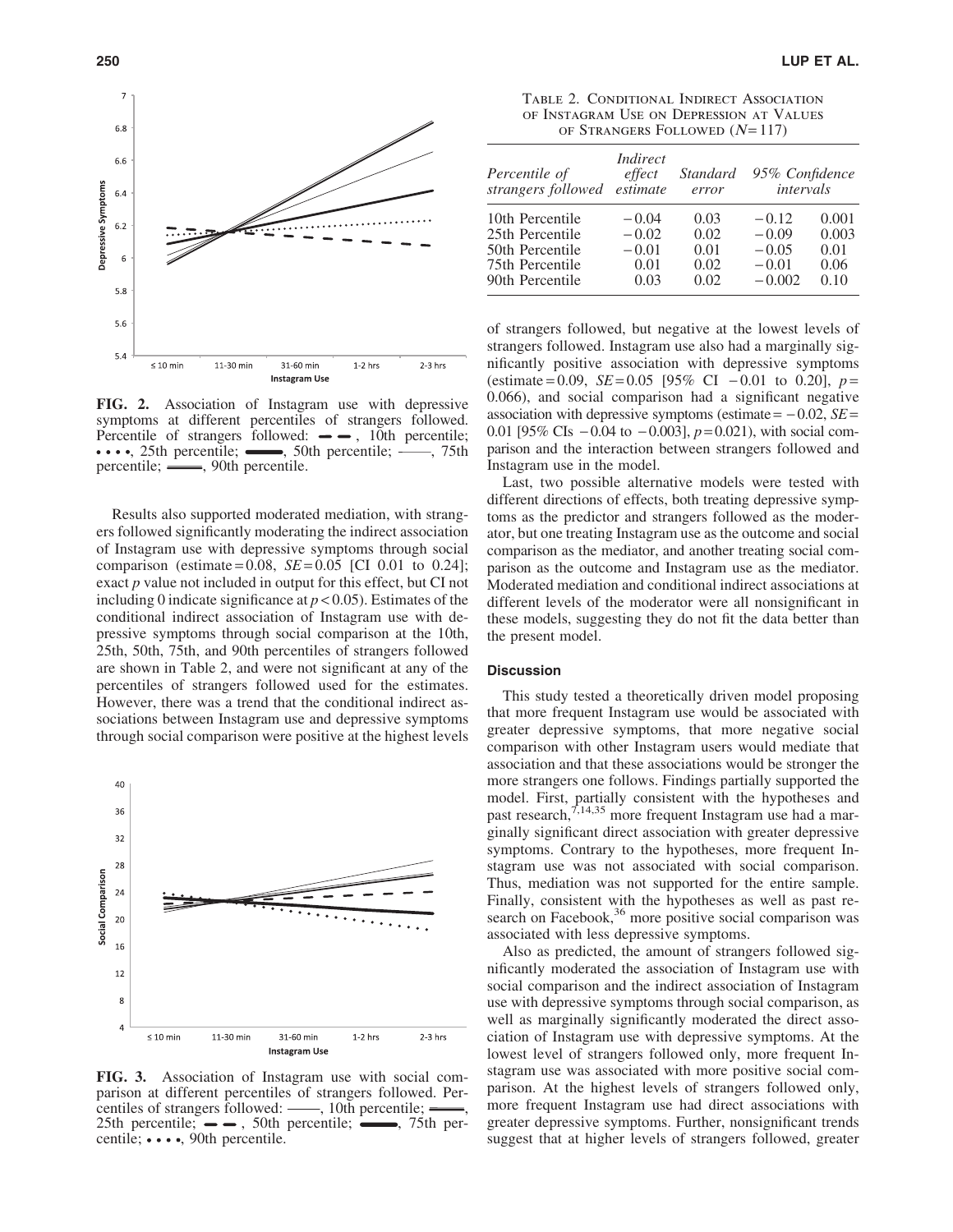

FIG. 2. Association of Instagram use with depressive symptoms at different percentiles of strangers followed. Percentile of strangers followed:  $\rightarrow$ , 10th percentile;  $\cdots$ , 25th percentile;  $\cdots$ , 50th percentile;  $\cdots$ , 75th percentile; — 90th percentile.

Results also supported moderated mediation, with strangers followed significantly moderating the indirect association of Instagram use with depressive symptoms through social comparison (estimate =  $0.08$ , *SE* =  $0.05$  [CI 0.01 to 0.24]; exact *p* value not included in output for this effect, but CI not including 0 indicate significance at  $p < 0.05$ ). Estimates of the conditional indirect association of Instagram use with depressive symptoms through social comparison at the 10th, 25th, 50th, 75th, and 90th percentiles of strangers followed are shown in Table 2, and were not significant at any of the percentiles of strangers followed used for the estimates. However, there was a trend that the conditional indirect associations between Instagram use and depressive symptoms through social comparison were positive at the highest levels



FIG. 3. Association of Instagram use with social comparison at different percentiles of strangers followed. Percentiles of strangers followed:  $\frac{1}{\sqrt{1-\frac{1}{\sqrt{1-\frac{1}{\sqrt{1-\frac{1}{\sqrt{1-\frac{1}{\sqrt{1-\frac{1}{\sqrt{1-\frac{1}{\sqrt{1-\frac{1}{\sqrt{1-\frac{1}{\sqrt{1-\frac{1}{\sqrt{1-\frac{1}{\sqrt{1-\frac{1}{\sqrt{1-\frac{1}{\sqrt{1-\frac{1}{\sqrt{1-\frac{1}{\sqrt{1-\frac{1}{\sqrt{1-\frac{1}{\sqrt{1-\frac{1}{\sqrt{1-\frac{1}{\sqrt{1-\frac{1}{\sqrt{1-\frac{1}{\sqrt{$ 25th percentile;  $\rightarrow$  50th percentile;  $\rightarrow$  75th percentile;  $\cdots$ , 90th percentile.

Table 2. Conditional Indirect Association of Instagram Use on Depression at Values OF STRANGERS FOLLOWED  $(N=117)$ 

| Percentile of<br>strangers followed | Indirect<br>effect<br>estimate | Standard<br>error | 95% Confidence<br>intervals |       |
|-------------------------------------|--------------------------------|-------------------|-----------------------------|-------|
| 10th Percentile                     | $-0.04$                        | 0.03              | $-0.12$                     | 0.001 |
| 25th Percentile                     | $-0.02$                        | 0.02              | $-0.09$                     | 0.003 |
| 50th Percentile                     | $-0.01$                        | 0.01              | $-0.05$                     | 0.01  |
| 75th Percentile                     | 0.01                           | 0.02              | $-0.01$                     | 0.06  |
| 90th Percentile                     | 0.03                           | 0.02              | $-0.002$                    | 0.10  |

of strangers followed, but negative at the lowest levels of strangers followed. Instagram use also had a marginally significantly positive association with depressive symptoms (estimate = 0.09,  $SE = 0.05$  [95% CI - 0.01 to 0.20],  $p =$ 0.066), and social comparison had a significant negative association with depressive symptoms (estimate  $= -0.02$ , *SE* $=$ 0.01 [95% CIs  $-0.04$  to  $-0.003$ ],  $p = 0.021$ ), with social comparison and the interaction between strangers followed and Instagram use in the model.

Last, two possible alternative models were tested with different directions of effects, both treating depressive symptoms as the predictor and strangers followed as the moderator, but one treating Instagram use as the outcome and social comparison as the mediator, and another treating social comparison as the outcome and Instagram use as the mediator. Moderated mediation and conditional indirect associations at different levels of the moderator were all nonsignificant in these models, suggesting they do not fit the data better than the present model.

# **Discussion**

This study tested a theoretically driven model proposing that more frequent Instagram use would be associated with greater depressive symptoms, that more negative social comparison with other Instagram users would mediate that association and that these associations would be stronger the more strangers one follows. Findings partially supported the model. First, partially consistent with the hypotheses and past research,  $7,14,35$  more frequent Instagram use had a marginally significant direct association with greater depressive symptoms. Contrary to the hypotheses, more frequent Instagram use was not associated with social comparison. Thus, mediation was not supported for the entire sample. Finally, consistent with the hypotheses as well as past research on Facebook,<sup>36</sup> more positive social comparison was associated with less depressive symptoms.

Also as predicted, the amount of strangers followed significantly moderated the association of Instagram use with social comparison and the indirect association of Instagram use with depressive symptoms through social comparison, as well as marginally significantly moderated the direct association of Instagram use with depressive symptoms. At the lowest level of strangers followed only, more frequent Instagram use was associated with more positive social comparison. At the highest levels of strangers followed only, more frequent Instagram use had direct associations with greater depressive symptoms. Further, nonsignificant trends suggest that at higher levels of strangers followed, greater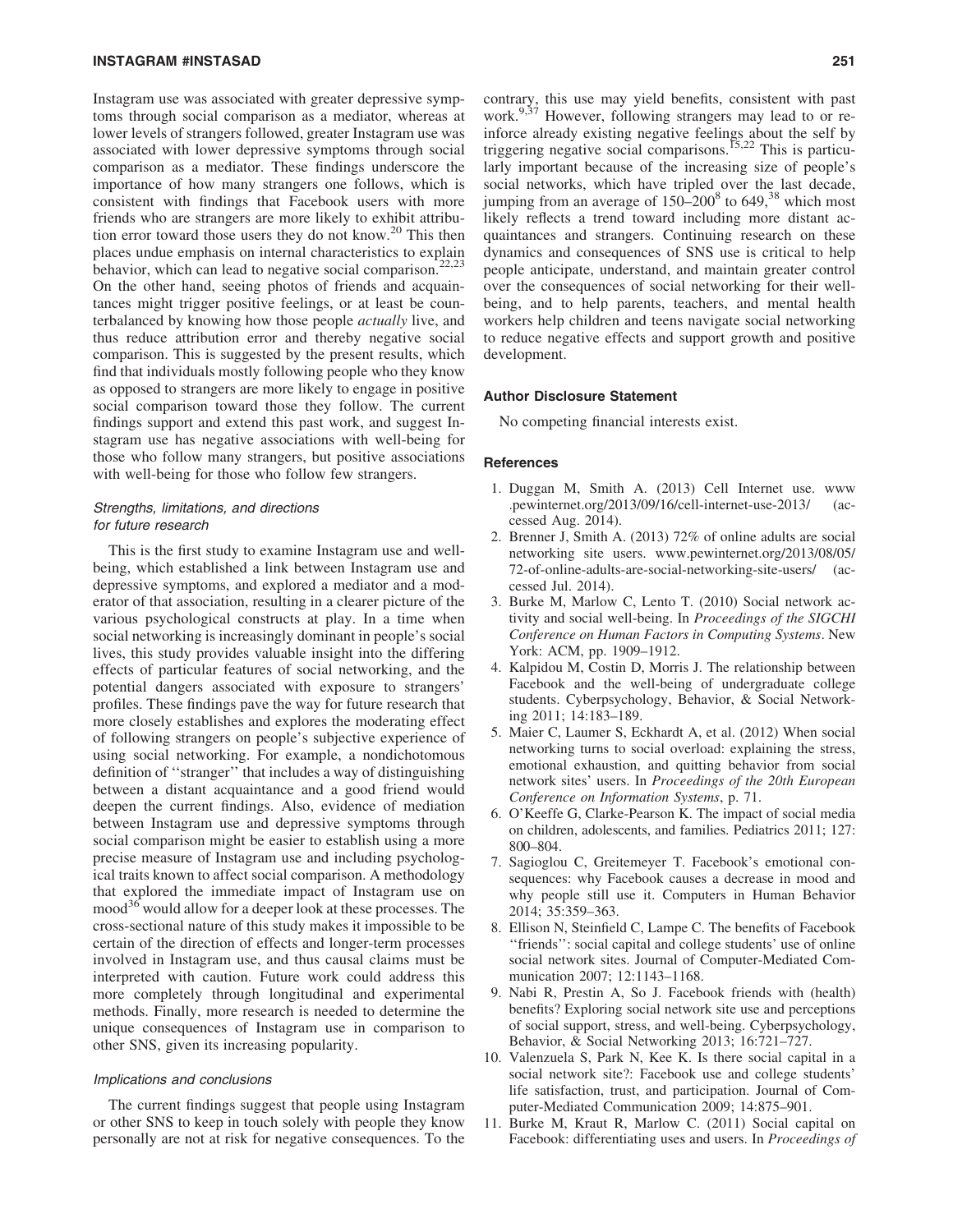#### INSTAGRAM #INSTASAD 251

Instagram use was associated with greater depressive symptoms through social comparison as a mediator, whereas at lower levels of strangers followed, greater Instagram use was associated with lower depressive symptoms through social comparison as a mediator. These findings underscore the importance of how many strangers one follows, which is consistent with findings that Facebook users with more friends who are strangers are more likely to exhibit attribution error toward those users they do not know.<sup>20</sup> This then places undue emphasis on internal characteristics to explain behavior, which can lead to negative social comparison.<sup>22,23</sup> On the other hand, seeing photos of friends and acquaintances might trigger positive feelings, or at least be counterbalanced by knowing how those people *actually* live, and thus reduce attribution error and thereby negative social comparison. This is suggested by the present results, which find that individuals mostly following people who they know as opposed to strangers are more likely to engage in positive social comparison toward those they follow. The current findings support and extend this past work, and suggest Instagram use has negative associations with well-being for those who follow many strangers, but positive associations with well-being for those who follow few strangers.

# Strengths, limitations, and directions for future research

This is the first study to examine Instagram use and wellbeing, which established a link between Instagram use and depressive symptoms, and explored a mediator and a moderator of that association, resulting in a clearer picture of the various psychological constructs at play. In a time when social networking is increasingly dominant in people's social lives, this study provides valuable insight into the differing effects of particular features of social networking, and the potential dangers associated with exposure to strangers' profiles. These findings pave the way for future research that more closely establishes and explores the moderating effect of following strangers on people's subjective experience of using social networking. For example, a nondichotomous definition of ''stranger'' that includes a way of distinguishing between a distant acquaintance and a good friend would deepen the current findings. Also, evidence of mediation between Instagram use and depressive symptoms through social comparison might be easier to establish using a more precise measure of Instagram use and including psychological traits known to affect social comparison. A methodology that explored the immediate impact of Instagram use on mood<sup>36</sup> would allow for a deeper look at these processes. The cross-sectional nature of this study makes it impossible to be certain of the direction of effects and longer-term processes involved in Instagram use, and thus causal claims must be interpreted with caution. Future work could address this more completely through longitudinal and experimental methods. Finally, more research is needed to determine the unique consequences of Instagram use in comparison to other SNS, given its increasing popularity.

#### Implications and conclusions

The current findings suggest that people using Instagram or other SNS to keep in touch solely with people they know personally are not at risk for negative consequences. To the contrary, this use may yield benefits, consistent with past work.<sup>9,37</sup> However, following strangers may lead to or reinforce already existing negative feelings about the self by triggering negative social comparisons.<sup>15,22</sup> This is particularly important because of the increasing size of people's social networks, which have tripled over the last decade, jumping from an average of  $150-200^8$  to  $649<sup>38</sup>$ , which most likely reflects a trend toward including more distant acquaintances and strangers. Continuing research on these dynamics and consequences of SNS use is critical to help people anticipate, understand, and maintain greater control over the consequences of social networking for their wellbeing, and to help parents, teachers, and mental health workers help children and teens navigate social networking to reduce negative effects and support growth and positive development.

#### Author Disclosure Statement

No competing financial interests exist.

# **References**

- 1. Duggan M, Smith A. (2013) Cell Internet use. www .pewinternet.org/2013/09/16/cell-internet-use-2013/ (accessed Aug. 2014).
- 2. Brenner J, Smith A. (2013) 72% of online adults are social networking site users. www.pewinternet.org/2013/08/05/ 72-of-online-adults-are-social-networking-site-users/ (accessed Jul. 2014).
- 3. Burke M, Marlow C, Lento T. (2010) Social network activity and social well-being. In *Proceedings of the SIGCHI Conference on Human Factors in Computing Systems*. New York: ACM, pp. 1909–1912.
- 4. Kalpidou M, Costin D, Morris J. The relationship between Facebook and the well-being of undergraduate college students. Cyberpsychology, Behavior, & Social Networking 2011; 14:183–189.
- 5. Maier C, Laumer S, Eckhardt A, et al. (2012) When social networking turns to social overload: explaining the stress, emotional exhaustion, and quitting behavior from social network sites' users. In *Proceedings of the 20th European Conference on Information Systems*, p. 71.
- 6. O'Keeffe G, Clarke-Pearson K. The impact of social media on children, adolescents, and families. Pediatrics 2011; 127: 800–804.
- 7. Sagioglou C, Greitemeyer T. Facebook's emotional consequences: why Facebook causes a decrease in mood and why people still use it. Computers in Human Behavior 2014; 35:359–363.
- 8. Ellison N, Steinfield C, Lampe C. The benefits of Facebook ''friends'': social capital and college students' use of online social network sites. Journal of Computer-Mediated Communication 2007; 12:1143–1168.
- 9. Nabi R, Prestin A, So J. Facebook friends with (health) benefits? Exploring social network site use and perceptions of social support, stress, and well-being. Cyberpsychology, Behavior, & Social Networking 2013; 16:721–727.
- 10. Valenzuela S, Park N, Kee K. Is there social capital in a social network site?: Facebook use and college students' life satisfaction, trust, and participation. Journal of Computer-Mediated Communication 2009; 14:875–901.
- 11. Burke M, Kraut R, Marlow C. (2011) Social capital on Facebook: differentiating uses and users. In *Proceedings of*